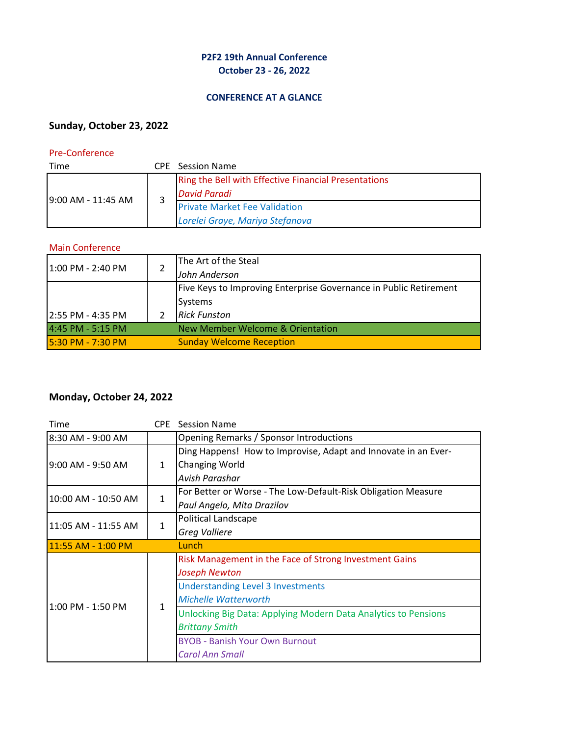## **P2F2 19th Annual Conference October 23 - 26, 2022**

#### **CONFERENCE AT A GLANCE**

# **Sunday, October 23, 2022**

#### Pre-Conference

| Time                |  | <b>CPE</b> Session Name                                     |
|---------------------|--|-------------------------------------------------------------|
| 19:00 AM - 11:45 AM |  | <b>Ring the Bell with Effective Financial Presentations</b> |
|                     |  | <b>David Paradi</b>                                         |
|                     |  | <b>Private Market Fee Validation</b>                        |
|                     |  | Lorelei Graye, Mariya Stefanova                             |

### Main Conference

| l1:00 PM - 2:40 PM | The Art of the Steal<br>John Anderson                                                               |
|--------------------|-----------------------------------------------------------------------------------------------------|
| 12:55 PM - 4:35 PM | Five Keys to Improving Enterprise Governance in Public Retirement<br>Systems<br><b>Rick Funston</b> |
| 4:45 PM - 5:15 PM  | New Member Welcome & Orientation                                                                    |
| 5:30 PM - 7:30 PM  | <b>Sunday Welcome Reception</b>                                                                     |

# **Monday, October 24, 2022**

| Time                | CPE.         | <b>Session Name</b>                                            |
|---------------------|--------------|----------------------------------------------------------------|
| 8:30 AM - 9:00 AM   |              | Opening Remarks / Sponsor Introductions                        |
| 9:00 AM - 9:50 AM   | $\mathbf{1}$ | Ding Happens! How to Improvise, Adapt and Innovate in an Ever- |
|                     |              | <b>Changing World</b>                                          |
|                     |              | Avish Parashar                                                 |
| 10:00 AM - 10:50 AM | 1            | For Better or Worse - The Low-Default-Risk Obligation Measure  |
|                     |              | Paul Angelo, Mita Drazilov                                     |
| 11:05 AM - 11:55 AM | 1            | Political Landscape                                            |
|                     |              | <b>Greg Valliere</b>                                           |
| 11:55 AM - 1:00 PM  |              | Lunch                                                          |
|                     |              | Risk Management in the Face of Strong Investment Gains         |
|                     |              | Joseph Newton                                                  |
|                     |              | <b>Understanding Level 3 Investments</b>                       |
|                     |              |                                                                |
|                     |              | <b>Michelle Watterworth</b>                                    |
| 1:00 PM - 1:50 PM   | 1            | Unlocking Big Data: Applying Modern Data Analytics to Pensions |
|                     |              | <b>Brittany Smith</b>                                          |
|                     |              | <b>BYOB - Banish Your Own Burnout</b>                          |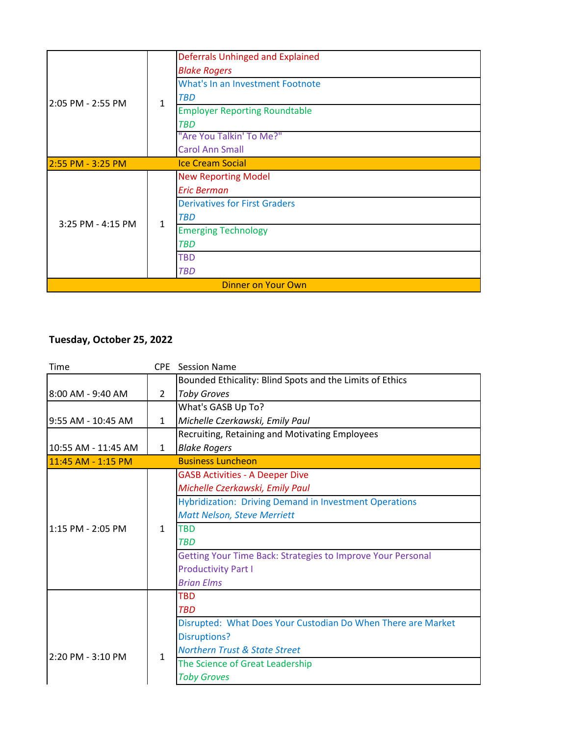|                   |              | <b>Deferrals Unhinged and Explained</b> |
|-------------------|--------------|-----------------------------------------|
| 2:05 PM - 2:55 PM | $\mathbf{1}$ | <b>Blake Rogers</b>                     |
|                   |              | What's In an Investment Footnote        |
|                   |              | <b>TBD</b>                              |
|                   |              | <b>Employer Reporting Roundtable</b>    |
|                   |              | TBD                                     |
|                   |              | "Are You Talkin' To Me?"                |
|                   |              | <b>Carol Ann Small</b>                  |
| 2:55 PM - 3:25 PM |              | <b>Ice Cream Social</b>                 |
|                   |              | <b>New Reporting Model</b>              |
|                   | $\mathbf{1}$ | <b>Eric Berman</b>                      |
|                   |              | <b>Derivatives for First Graders</b>    |
| 3:25 PM - 4:15 PM |              | <b>TBD</b>                              |
|                   |              | <b>Emerging Technology</b>              |
|                   |              | TBD                                     |
|                   |              | <b>TBD</b>                              |
|                   |              |                                         |
|                   |              | <b>TBD</b>                              |

# **Tuesday, October 25, 2022**

| Time                | <b>CPE</b>     | <b>Session Name</b>                                                |
|---------------------|----------------|--------------------------------------------------------------------|
|                     |                | Bounded Ethicality: Blind Spots and the Limits of Ethics           |
| 8:00 AM - 9:40 AM   | $\overline{2}$ | <b>Toby Groves</b>                                                 |
|                     |                | What's GASB Up To?                                                 |
| 9:55 AM - 10:45 AM  | 1              | Michelle Czerkawski, Emily Paul                                    |
|                     |                | Recruiting, Retaining and Motivating Employees                     |
| 10:55 AM - 11:45 AM | $\mathbf{1}$   | <b>Blake Rogers</b>                                                |
| 11:45 AM - 1:15 PM  |                | <b>Business Luncheon</b>                                           |
|                     |                | <b>GASB Activities - A Deeper Dive</b>                             |
|                     |                | Michelle Czerkawski, Emily Paul                                    |
|                     |                | <b>Hybridization: Driving Demand in Investment Operations</b>      |
|                     |                | Matt Nelson, Steve Merriett                                        |
| $1:15$ PM - 2:05 PM | 1              | <b>TBD</b>                                                         |
|                     |                | <b>TBD</b>                                                         |
|                     |                | <b>Getting Your Time Back: Strategies to Improve Your Personal</b> |
|                     |                | <b>Productivity Part I</b>                                         |
|                     |                | <b>Brian Elms</b>                                                  |
|                     |                | <b>TBD</b>                                                         |
|                     |                | <b>TBD</b>                                                         |
|                     |                | Disrupted: What Does Your Custodian Do When There are Market       |
|                     |                | <b>Disruptions?</b>                                                |
| 2:20 PM - 3:10 PM   | $\mathbf{1}$   | <b>Northern Trust &amp; State Street</b>                           |
|                     |                | The Science of Great Leadership                                    |
|                     |                | <b>Toby Groves</b>                                                 |